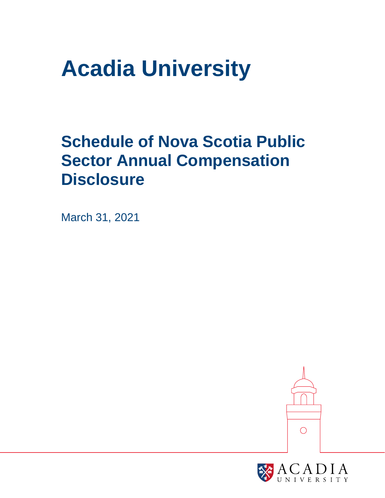# **Acadia University**

## **Schedule of Nova Scotia Public Sector Annual Compensation Disclosure**

March 31, 2021



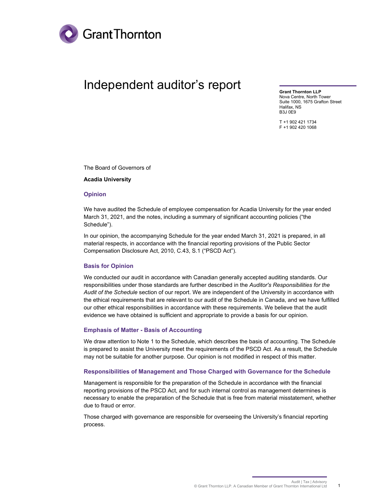

### Independent auditor's report

**Grant Thornton LLP**  Nova Centre, North Tower Suite 1000, 1675 Grafton Street Halifax, NS B3J 0E9

T +1 902 421 1734 F +1 902 420 1068

The Board of Governors of

**Acadia University** 

#### **Opinion**

We have audited the Schedule of employee compensation for Acadia University for the year ended March 31, 2021, and the notes, including a summary of significant accounting policies ("the Schedule").

In our opinion, the accompanying Schedule for the year ended March 31, 2021 is prepared, in all material respects, in accordance with the financial reporting provisions of the Public Sector Compensation Disclosure Act, 2010, C.43, S.1 ("PSCD Act").

#### **Basis for Opinion**

We conducted our audit in accordance with Canadian generally accepted auditing standards. Our responsibilities under those standards are further described in the *Auditor's Responsibilities for the Audit of the Schedule* section of our report. We are independent of the University in accordance with the ethical requirements that are relevant to our audit of the Schedule in Canada, and we have fulfilled our other ethical responsibilities in accordance with these requirements. We believe that the audit evidence we have obtained is sufficient and appropriate to provide a basis for our opinion.

#### **Emphasis of Matter - Basis of Accounting**

We draw attention to Note 1 to the Schedule, which describes the basis of accounting. The Schedule is prepared to assist the University meet the requirements of the PSCD Act. As a result, the Schedule may not be suitable for another purpose. Our opinion is not modified in respect of this matter.

#### **Responsibilities of Management and Those Charged with Governance for the Schedule**

Management is responsible for the preparation of the Schedule in accordance with the financial reporting provisions of the PSCD Act, and for such internal control as management determines is necessary to enable the preparation of the Schedule that is free from material misstatement, whether due to fraud or error.

Those charged with governance are responsible for overseeing the University's financial reporting process.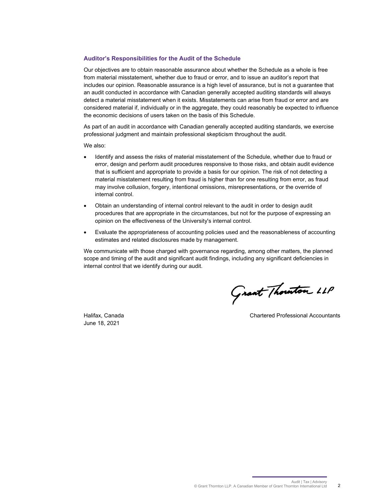#### **Auditor's Responsibilities for the Audit of the Schedule**

Our objectives are to obtain reasonable assurance about whether the Schedule as a whole is free from material misstatement, whether due to fraud or error, and to issue an auditor's report that includes our opinion. Reasonable assurance is a high level of assurance, but is not a guarantee that an audit conducted in accordance with Canadian generally accepted auditing standards will always detect a material misstatement when it exists. Misstatements can arise from fraud or error and are considered material if, individually or in the aggregate, they could reasonably be expected to influence the economic decisions of users taken on the basis of this Schedule.

As part of an audit in accordance with Canadian generally accepted auditing standards, we exercise professional judgment and maintain professional skepticism throughout the audit.

We also:

- Identify and assess the risks of material misstatement of the Schedule, whether due to fraud or error, design and perform audit procedures responsive to those risks, and obtain audit evidence that is sufficient and appropriate to provide a basis for our opinion. The risk of not detecting a material misstatement resulting from fraud is higher than for one resulting from error, as fraud may involve collusion, forgery, intentional omissions, misrepresentations, or the override of internal control.
- Obtain an understanding of internal control relevant to the audit in order to design audit procedures that are appropriate in the circumstances, but not for the purpose of expressing an opinion on the effectiveness of the University's internal control.
- Evaluate the appropriateness of accounting policies used and the reasonableness of accounting estimates and related disclosures made by management.

We communicate with those charged with governance regarding, among other matters, the planned scope and timing of the audit and significant audit findings, including any significant deficiencies in internal control that we identify during our audit.

June 18, 2021

Grant Thouton LLP

Halifax, Canada Chartered Professional Accountants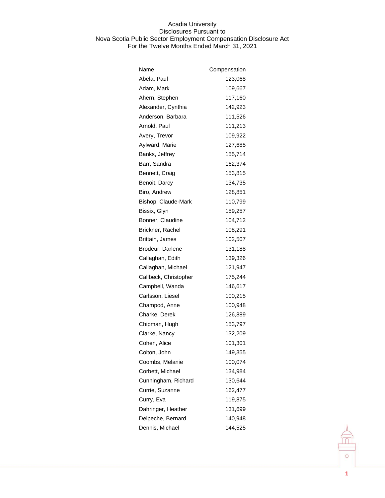| Name                  | Compensation |
|-----------------------|--------------|
| Abela, Paul           | 123,068      |
| Adam, Mark            | 109,667      |
| Ahern, Stephen        | 117,160      |
| Alexander, Cynthia    | 142,923      |
| Anderson, Barbara     | 111,526      |
| Arnold, Paul          | 111,213      |
| Avery, Trevor         | 109,922      |
| Aylward, Marie        | 127,685      |
| Banks, Jeffrey        | 155,714      |
| Barr, Sandra          | 162,374      |
| Bennett, Craig        | 153,815      |
| Benoit, Darcy         | 134,735      |
| Biro, Andrew          | 128,851      |
| Bishop, Claude-Mark   | 110,799      |
| Bissix, Glyn          | 159,257      |
| Bonner, Claudine      | 104,712      |
| Brickner, Rachel      | 108,291      |
| Brittain, James       | 102,507      |
| Brodeur, Darlene      | 131,188      |
| Callaghan, Edith      | 139,326      |
| Callaghan, Michael    | 121,947      |
| Callbeck, Christopher | 175,244      |
| Campbell, Wanda       | 146,617      |
| Carlsson, Liesel      | 100,215      |
| Champod, Anne         | 100,948      |
| Charke, Derek         | 126,889      |
| Chipman, Hugh         | 153,797      |
| Clarke, Nancy         | 132,209      |
| Cohen, Alice          | 101,301      |
| Colton, John          | 149,355      |
| Coombs, Melanie       | 100,074      |
| Corbett, Michael      | 134,984      |
| Cunningham, Richard   | 130,644      |
| Currie, Suzanne       | 162,477      |
| Curry, Eva            | 119,875      |
| Dahringer, Heather    | 131,699      |
| Delpeche, Bernard     | 140,948      |
| Dennis, Michael       | 144,525      |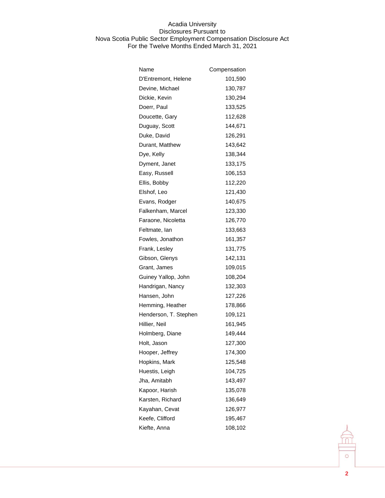| Name                  | Compensation |
|-----------------------|--------------|
| D'Entremont, Helene   | 101,590      |
| Devine, Michael       | 130,787      |
| Dickie, Kevin         | 130,294      |
| Doerr, Paul           | 133,525      |
| Doucette, Gary        | 112,628      |
| Duguay, Scott         | 144,671      |
| Duke, David           | 126,291      |
| Durant, Matthew       | 143,642      |
| Dye, Kelly            | 138,344      |
| Dyment, Janet         | 133,175      |
| Easy, Russell         | 106,153      |
| Ellis, Bobby          | 112,220      |
| Elshof, Leo           | 121,430      |
| Evans, Rodger         | 140,675      |
| Falkenham, Marcel     | 123,330      |
| Faraone, Nicoletta    | 126,770      |
| Feltmate, lan         | 133,663      |
| Fowles, Jonathon      | 161,357      |
| Frank, Lesley         | 131,775      |
| Gibson, Glenys        | 142,131      |
| Grant, James          | 109,015      |
| Guiney Yallop, John   | 108,204      |
| Handrigan, Nancy      | 132,303      |
| Hansen, John          | 127,226      |
| Hemming, Heather      | 178,866      |
| Henderson, T. Stephen | 109,121      |
| Hillier, Neil         | 161,945      |
| Holmberg, Diane       | 149,444      |
| Holt, Jason           | 127,300      |
| Hooper, Jeffrey       | 174,300      |
| Hopkins, Mark         | 125,548      |
| Huestis, Leigh        | 104,725      |
| Jha, Amitabh          | 143,497      |
| Kapoor, Harish        | 135,078      |
| Karsten, Richard      | 136,649      |
| Kayahan, Cevat        | 126,977      |
| Keefe, Clifford       | 195,467      |
| Kiefte, Anna          | 108,102      |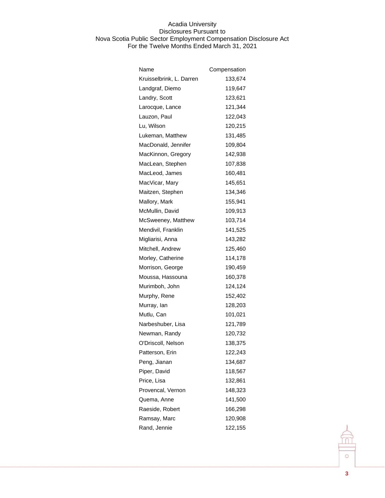| Name                     | Compensation |
|--------------------------|--------------|
| Kruisselbrink, L. Darren | 133,674      |
| Landgraf, Diemo          | 119,647      |
| Landry, Scott            | 123,621      |
| Larocque, Lance          | 121,344      |
| Lauzon, Paul             | 122,043      |
| Lu, Wilson               | 120,215      |
| Lukeman, Matthew         | 131,485      |
| MacDonald, Jennifer      | 109,804      |
| MacKinnon, Gregory       | 142,938      |
| MacLean, Stephen         | 107,838      |
| MacLeod, James           | 160,481      |
| MacVicar, Mary           | 145,651      |
| Maitzen, Stephen         | 134,346      |
| Mallory, Mark            | 155,941      |
| McMullin, David          | 109,913      |
| McSweeney, Matthew       | 103,714      |
| Mendivil, Franklin       | 141,525      |
| Migliarisi, Anna         | 143,282      |
| Mitchell, Andrew         | 125,460      |
| Morley, Catherine        | 114,178      |
| Morrison, George         | 190,459      |
| Moussa, Hassouna         | 160,378      |
| Murimboh, John           | 124,124      |
| Murphy, Rene             | 152,402      |
| Murray, lan              | 128,203      |
| Mutlu, Can               | 101,021      |
| Narbeshuber, Lisa        | 121,789      |
| Newman, Randy            | 120,732      |
| O'Driscoll, Nelson       | 138,375      |
| Patterson, Erin          | 122,243      |
| Peng, Jianan             | 134,687      |
| Piper, David             | 118,567      |
| Price, Lisa              | 132,861      |
| Provencal, Vernon        | 148,323      |
| Quema, Anne              | 141,500      |
| Raeside, Robert          | 166,298      |
| Ramsay, Marc             | 120,908      |
| Rand, Jennie             | 122,155      |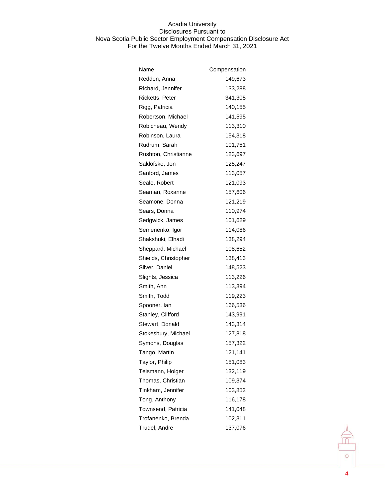| Name                 | Compensation |
|----------------------|--------------|
| Redden, Anna         | 149,673      |
| Richard, Jennifer    | 133,288      |
| Ricketts, Peter      | 341,305      |
| Rigg, Patricia       | 140,155      |
| Robertson, Michael   | 141,595      |
| Robicheau, Wendy     | 113,310      |
| Robinson, Laura      | 154,318      |
| Rudrum, Sarah        | 101,751      |
| Rushton, Christianne | 123,697      |
| Saklofske, Jon       | 125,247      |
| Sanford, James       | 113,057      |
| Seale, Robert        | 121,093      |
| Seaman, Roxanne      | 157,606      |
| Seamone, Donna       | 121,219      |
| Sears, Donna         | 110,974      |
| Sedgwick, James      | 101,629      |
| Semenenko, Igor      | 114,086      |
| Shakshuki, Elhadi    | 138,294      |
| Sheppard, Michael    | 108,652      |
| Shields, Christopher | 138,413      |
| Silver, Daniel       | 148,523      |
| Slights, Jessica     | 113,226      |
| Smith, Ann           | 113,394      |
| Smith, Todd          | 119,223      |
| Spooner, Ian         | 166,536      |
| Stanley, Clifford    | 143,991      |
| Stewart, Donald      | 143,314      |
| Stokesbury, Michael  | 127,818      |
| Symons, Douglas      | 157,322      |
| Tango, Martin        | 121,141      |
| Taylor, Philip       | 151,083      |
| Teismann, Holger     | 132,119      |
| Thomas, Christian    | 109,374      |
| Tinkham, Jennifer    | 103,852      |
| Tong, Anthony        | 116,178      |
| Townsend, Patricia   | 141,048      |
| Trofanenko, Brenda   | 102,311      |
| Trudel, Andre        | 137,076      |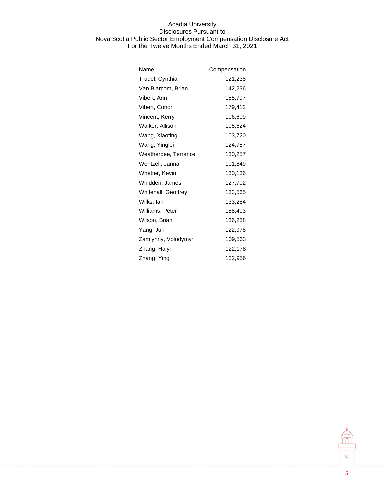| Name                 | Compensation |
|----------------------|--------------|
| Trudel, Cynthia      | 121,238      |
| Van Blarcom, Brian   | 142,236      |
| Vibert, Ann          | 155,797      |
| Vibert, Conor        | 179,412      |
| Vincent, Kerry       | 106,609      |
| Walker, Allison      | 105,624      |
| Wang, Xiaoting       | 103,720      |
| Wang, Yinglei        | 124,757      |
| Weatherbee, Terrance | 130,257      |
| Wentzell, Janna      | 101,849      |
| Whetter, Kevin       | 130,136      |
| Whidden, James       | 127,702      |
| Whitehall, Geoffrey  | 133,565      |
| Wilks, lan           | 133,284      |
| Williams, Peter      | 158,403      |
| Wilson, Brian        | 136,238      |
| Yang, Jun            | 122,978      |
| Zamlynny, Volodymyr  | 109,563      |
| Zhang, Haiyi         | 122,178      |
| Zhang, Ying          | 132,956      |